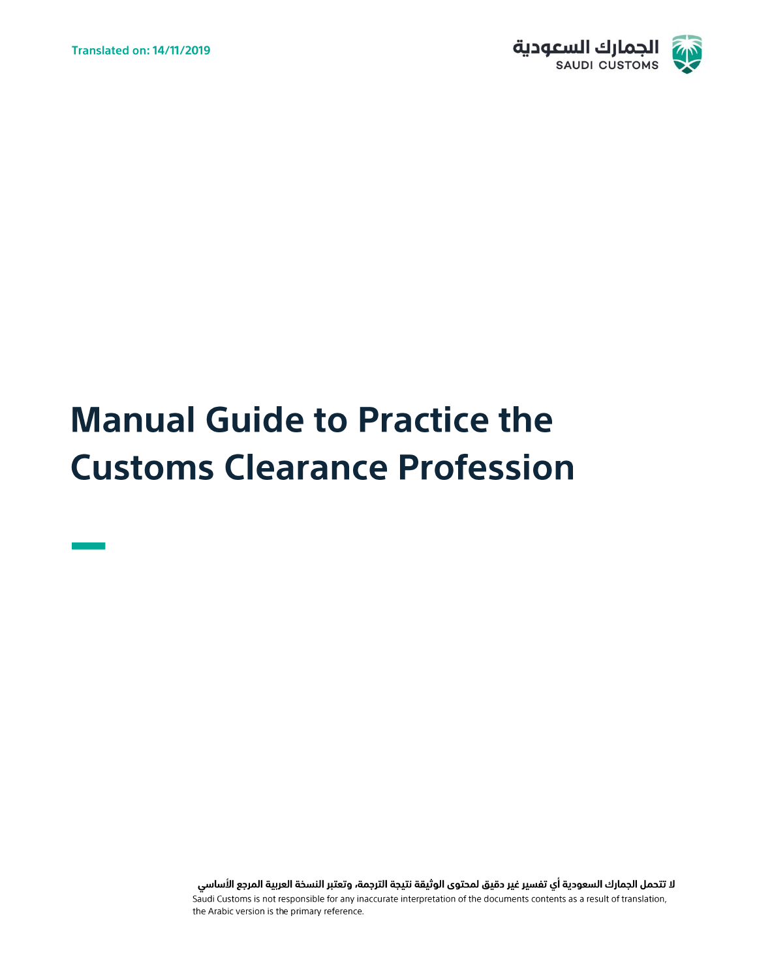

# **Manual Guide to Practice the Customs Clearance Profession**

لا تتحمل الجمارك السعودية أي تفسير غير دقيق لمحتوى الوثيقة نتيجة الترجمة، وتعتبر النسخة العربية المرجع الأساسي Saudi Customs is not responsible for any inaccurate interpretation of the documents contents as a result of translation, the Arabic version is the primary reference.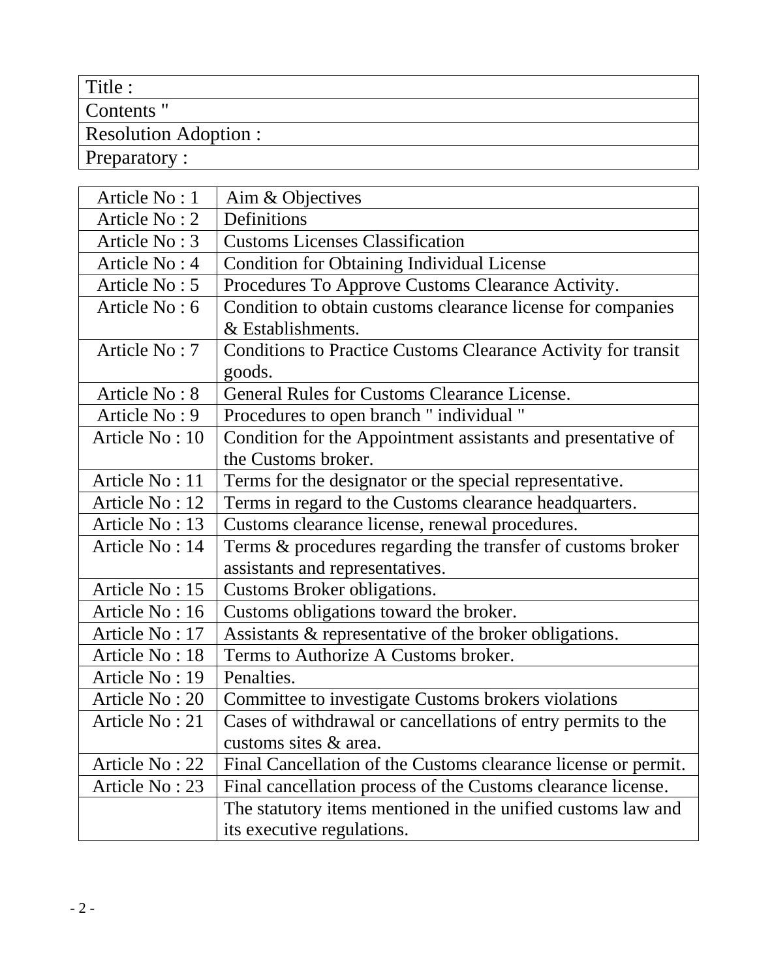# Title :

Contents "

# Resolution Adoption :

Preparatory :

| Article No: 1  | Aim & Objectives                                               |
|----------------|----------------------------------------------------------------|
| Article No: 2  | Definitions                                                    |
| Article No: 3  | <b>Customs Licenses Classification</b>                         |
| Article No: 4  | <b>Condition for Obtaining Individual License</b>              |
| Article No: 5  | Procedures To Approve Customs Clearance Activity.              |
| Article No: 6  | Condition to obtain customs clearance license for companies    |
|                | & Establishments.                                              |
| Article No: 7  | Conditions to Practice Customs Clearance Activity for transit  |
|                | goods.                                                         |
| Article No: 8  | <b>General Rules for Customs Clearance License.</b>            |
| Article No: 9  | Procedures to open branch " individual "                       |
| Article No: 10 | Condition for the Appointment assistants and presentative of   |
|                | the Customs broker.                                            |
| Article No: 11 | Terms for the designator or the special representative.        |
| Article No: 12 | Terms in regard to the Customs clearance headquarters.         |
| Article No: 13 | Customs clearance license, renewal procedures.                 |
| Article No: 14 | Terms & procedures regarding the transfer of customs broker    |
|                | assistants and representatives.                                |
| Article No: 15 | Customs Broker obligations.                                    |
| Article No: 16 | Customs obligations toward the broker.                         |
| Article No: 17 | Assistants & representative of the broker obligations.         |
| Article No: 18 | Terms to Authorize A Customs broker.                           |
| Article No: 19 | Penalties.                                                     |
| Article No: 20 | Committee to investigate Customs brokers violations            |
| Article No: 21 | Cases of withdrawal or cancellations of entry permits to the   |
|                | customs sites & area.                                          |
| Article No: 22 | Final Cancellation of the Customs clearance license or permit. |
| Article No: 23 | Final cancellation process of the Customs clearance license.   |
|                | The statutory items mentioned in the unified customs law and   |
|                | its executive regulations.                                     |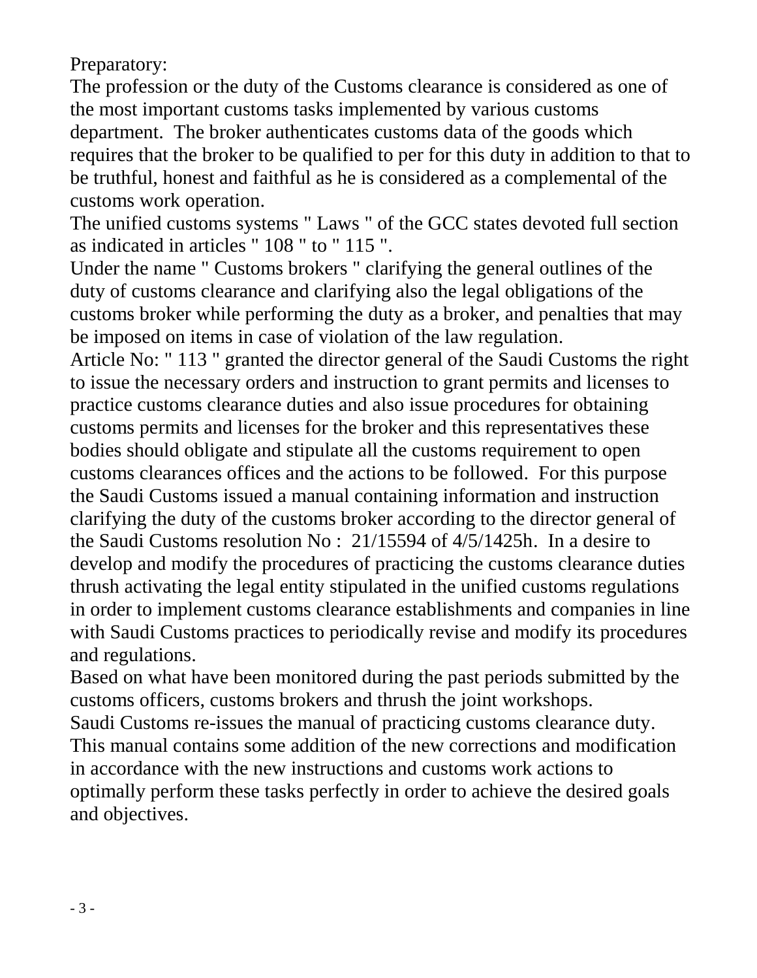Preparatory:

The profession or the duty of the Customs clearance is considered as one of the most important customs tasks implemented by various customs department. The broker authenticates customs data of the goods which requires that the broker to be qualified to per for this duty in addition to that to be truthful, honest and faithful as he is considered as a complemental of the customs work operation.

The unified customs systems " Laws " of the GCC states devoted full section as indicated in articles " 108 " to " 115 ".

Under the name " Customs brokers " clarifying the general outlines of the duty of customs clearance and clarifying also the legal obligations of the customs broker while performing the duty as a broker, and penalties that may be imposed on items in case of violation of the law regulation.

Article No: " 113 " granted the director general of the Saudi Customs the right to issue the necessary orders and instruction to grant permits and licenses to practice customs clearance duties and also issue procedures for obtaining customs permits and licenses for the broker and this representatives these bodies should obligate and stipulate all the customs requirement to open customs clearances offices and the actions to be followed. For this purpose the Saudi Customs issued a manual containing information and instruction clarifying the duty of the customs broker according to the director general of the Saudi Customs resolution No : 21/15594 of 4/5/1425h. In a desire to develop and modify the procedures of practicing the customs clearance duties thrush activating the legal entity stipulated in the unified customs regulations in order to implement customs clearance establishments and companies in line with Saudi Customs practices to periodically revise and modify its procedures and regulations.

Based on what have been monitored during the past periods submitted by the customs officers, customs brokers and thrush the joint workshops.

Saudi Customs re-issues the manual of practicing customs clearance duty. This manual contains some addition of the new corrections and modification in accordance with the new instructions and customs work actions to optimally perform these tasks perfectly in order to achieve the desired goals and objectives.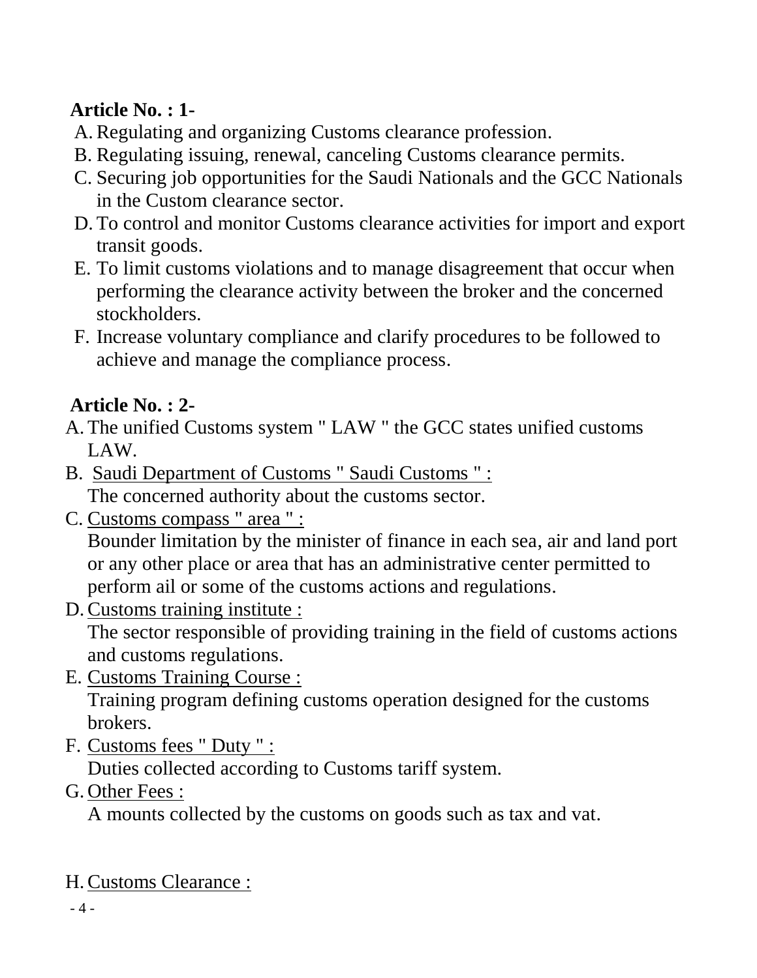# **Article No. : 1-**

- A.Regulating and organizing Customs clearance profession.
- B. Regulating issuing, renewal, canceling Customs clearance permits.
- C. Securing job opportunities for the Saudi Nationals and the GCC Nationals in the Custom clearance sector.
- D. To control and monitor Customs clearance activities for import and export transit goods.
- E. To limit customs violations and to manage disagreement that occur when performing the clearance activity between the broker and the concerned stockholders.
- F. Increase voluntary compliance and clarify procedures to be followed to achieve and manage the compliance process.

# **Article No. : 2-**

- A. The unified Customs system " LAW " the GCC states unified customs LAW.
- B. Saudi Department of Customs " Saudi Customs " : The concerned authority about the customs sector.
- C. Customs compass " area " : Bounder limitation by the minister of finance in each sea, air and land port or any other place or area that has an administrative center permitted to perform ail or some of the customs actions and regulations.
- D.Customs training institute :

The sector responsible of providing training in the field of customs actions and customs regulations.

E. Customs Training Course :

Training program defining customs operation designed for the customs brokers.

F. Customs fees " Duty " :

Duties collected according to Customs tariff system.

G. Other Fees :

A mounts collected by the customs on goods such as tax and vat.

H.Customs Clearance :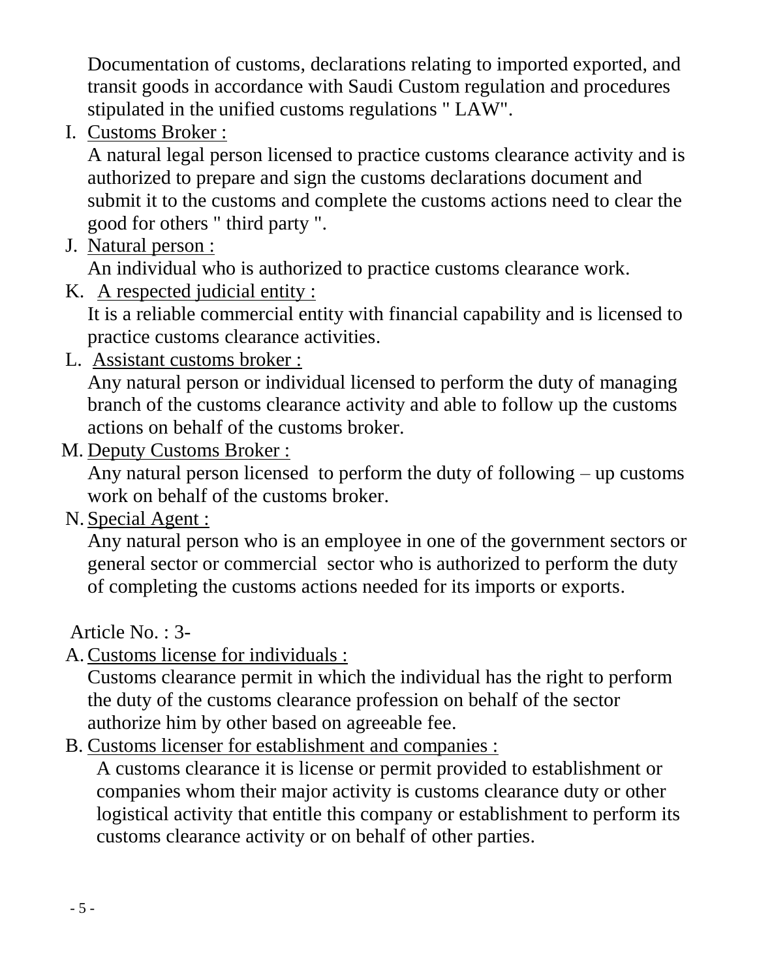Documentation of customs, declarations relating to imported exported, and transit goods in accordance with Saudi Custom regulation and procedures stipulated in the unified customs regulations " LAW".

I. Customs Broker :

A natural legal person licensed to practice customs clearance activity and is authorized to prepare and sign the customs declarations document and submit it to the customs and complete the customs actions need to clear the good for others " third party ".

J. Natural person :

An individual who is authorized to practice customs clearance work.

K. A respected judicial entity :

It is a reliable commercial entity with financial capability and is licensed to practice customs clearance activities.

L. Assistant customs broker :

Any natural person or individual licensed to perform the duty of managing branch of the customs clearance activity and able to follow up the customs actions on behalf of the customs broker.

M. Deputy Customs Broker :

Any natural person licensed to perform the duty of following – up customs work on behalf of the customs broker.

N. Special Agent :

Any natural person who is an employee in one of the government sectors or general sector or commercial sector who is authorized to perform the duty of completing the customs actions needed for its imports or exports.

Article No. : 3-

A.Customs license for individuals :

Customs clearance permit in which the individual has the right to perform the duty of the customs clearance profession on behalf of the sector authorize him by other based on agreeable fee.

B. Customs licenser for establishment and companies :

A customs clearance it is license or permit provided to establishment or companies whom their major activity is customs clearance duty or other logistical activity that entitle this company or establishment to perform its customs clearance activity or on behalf of other parties.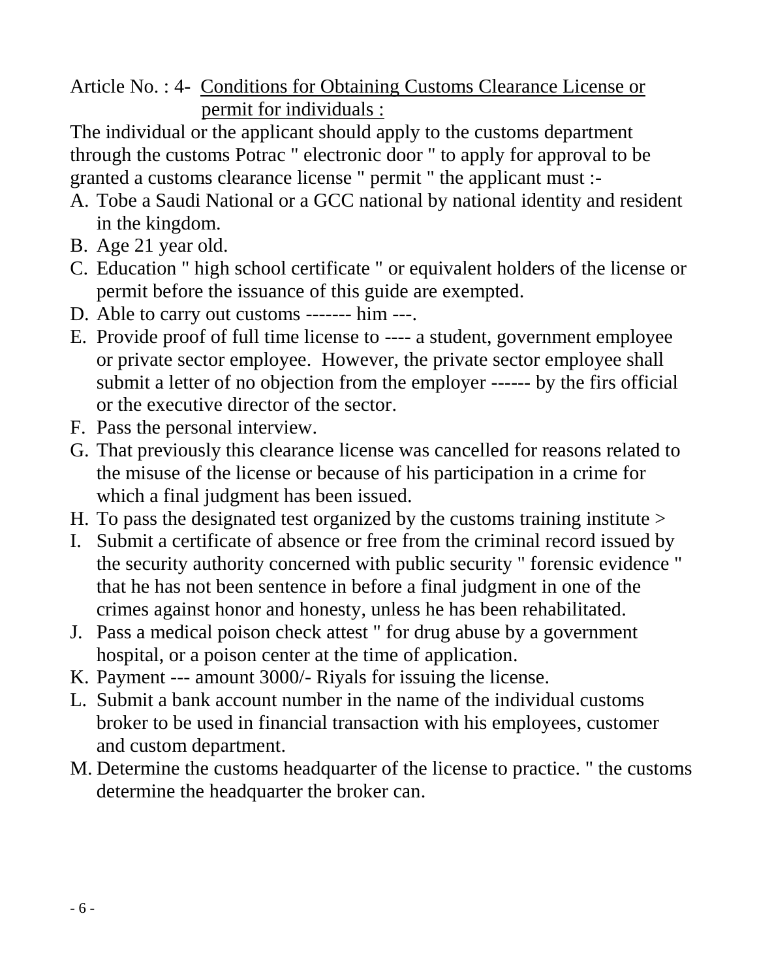Article No. : 4- Conditions for Obtaining Customs Clearance License or permit for individuals :

The individual or the applicant should apply to the customs department through the customs Potrac " electronic door " to apply for approval to be granted a customs clearance license " permit " the applicant must :-

- A. Tobe a Saudi National or a GCC national by national identity and resident in the kingdom.
- B. Age 21 year old.
- C. Education " high school certificate " or equivalent holders of the license or permit before the issuance of this guide are exempted.
- D. Able to carry out customs ------- him ---.
- E. Provide proof of full time license to ---- a student, government employee or private sector employee. However, the private sector employee shall submit a letter of no objection from the employer ------ by the firs official or the executive director of the sector.
- F. Pass the personal interview.
- G. That previously this clearance license was cancelled for reasons related to the misuse of the license or because of his participation in a crime for which a final judgment has been issued.
- H. To pass the designated test organized by the customs training institute >
- I. Submit a certificate of absence or free from the criminal record issued by the security authority concerned with public security " forensic evidence " that he has not been sentence in before a final judgment in one of the crimes against honor and honesty, unless he has been rehabilitated.
- J. Pass a medical poison check attest " for drug abuse by a government hospital, or a poison center at the time of application.
- K. Payment --- amount 3000/- Riyals for issuing the license.
- L. Submit a bank account number in the name of the individual customs broker to be used in financial transaction with his employees, customer and custom department.
- M. Determine the customs headquarter of the license to practice. " the customs determine the headquarter the broker can.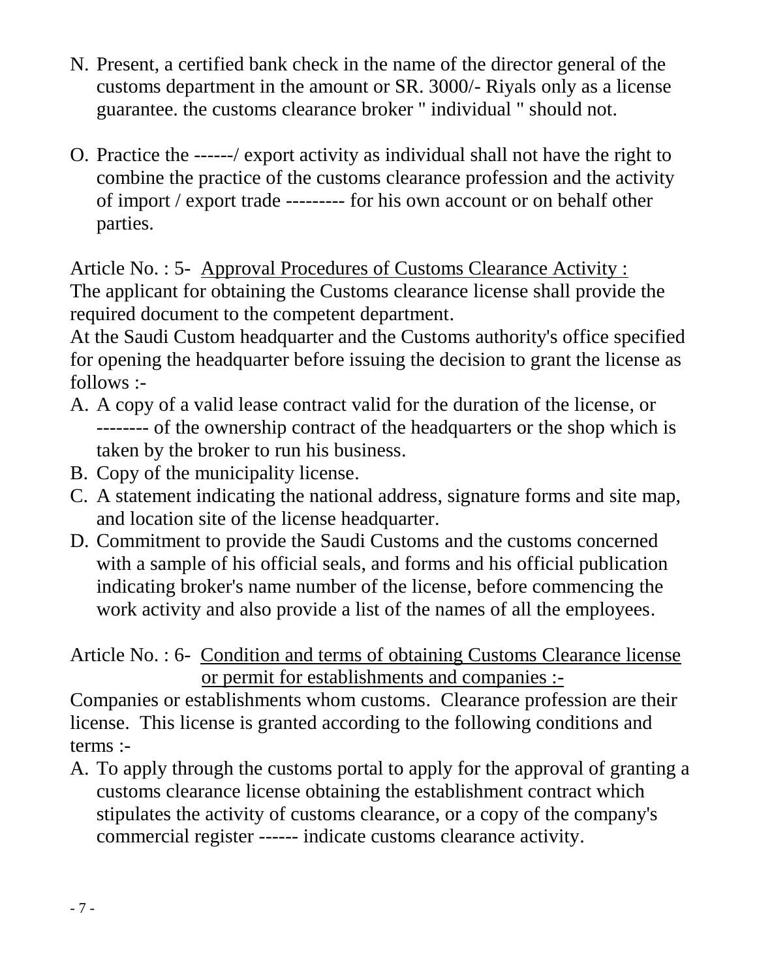- N. Present, a certified bank check in the name of the director general of the customs department in the amount or SR. 3000/- Riyals only as a license guarantee. the customs clearance broker " individual " should not.
- O. Practice the ------/ export activity as individual shall not have the right to combine the practice of the customs clearance profession and the activity of import / export trade --------- for his own account or on behalf other parties.

Article No. : 5- Approval Procedures of Customs Clearance Activity : The applicant for obtaining the Customs clearance license shall provide the required document to the competent department.

At the Saudi Custom headquarter and the Customs authority's office specified for opening the headquarter before issuing the decision to grant the license as follows :-

- A. A copy of a valid lease contract valid for the duration of the license, or -------- of the ownership contract of the headquarters or the shop which is taken by the broker to run his business.
- B. Copy of the municipality license.
- C. A statement indicating the national address, signature forms and site map, and location site of the license headquarter.
- D. Commitment to provide the Saudi Customs and the customs concerned with a sample of his official seals, and forms and his official publication indicating broker's name number of the license, before commencing the work activity and also provide a list of the names of all the employees.

Article No. : 6- Condition and terms of obtaining Customs Clearance license or permit for establishments and companies :-

Companies or establishments whom customs. Clearance profession are their license. This license is granted according to the following conditions and terms :-

A. To apply through the customs portal to apply for the approval of granting a customs clearance license obtaining the establishment contract which stipulates the activity of customs clearance, or a copy of the company's commercial register ------ indicate customs clearance activity.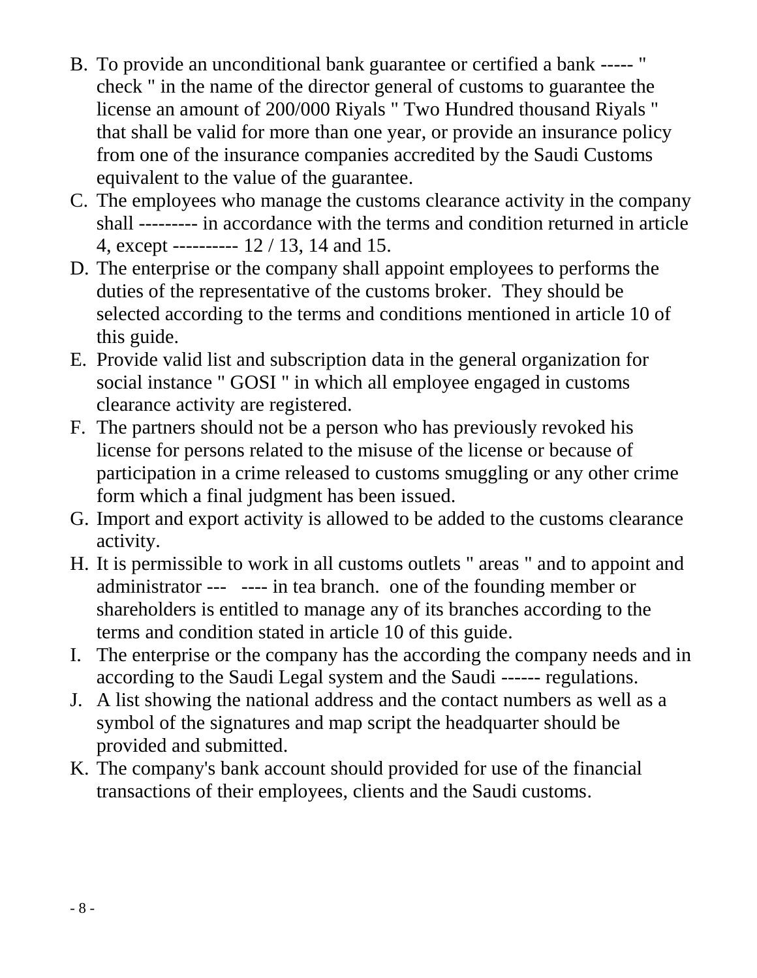- B. To provide an unconditional bank guarantee or certified a bank ----- " check " in the name of the director general of customs to guarantee the license an amount of 200/000 Riyals " Two Hundred thousand Riyals " that shall be valid for more than one year, or provide an insurance policy from one of the insurance companies accredited by the Saudi Customs equivalent to the value of the guarantee.
- C. The employees who manage the customs clearance activity in the company shall --------- in accordance with the terms and condition returned in article 4, except ---------- 12 / 13, 14 and 15.
- D. The enterprise or the company shall appoint employees to performs the duties of the representative of the customs broker. They should be selected according to the terms and conditions mentioned in article 10 of this guide.
- E. Provide valid list and subscription data in the general organization for social instance " GOSI " in which all employee engaged in customs clearance activity are registered.
- F. The partners should not be a person who has previously revoked his license for persons related to the misuse of the license or because of participation in a crime released to customs smuggling or any other crime form which a final judgment has been issued.
- G. Import and export activity is allowed to be added to the customs clearance activity.
- H. It is permissible to work in all customs outlets " areas " and to appoint and administrator --- ---- in tea branch. one of the founding member or shareholders is entitled to manage any of its branches according to the terms and condition stated in article 10 of this guide.
- I. The enterprise or the company has the according the company needs and in according to the Saudi Legal system and the Saudi ------ regulations.
- J. A list showing the national address and the contact numbers as well as a symbol of the signatures and map script the headquarter should be provided and submitted.
- K. The company's bank account should provided for use of the financial transactions of their employees, clients and the Saudi customs.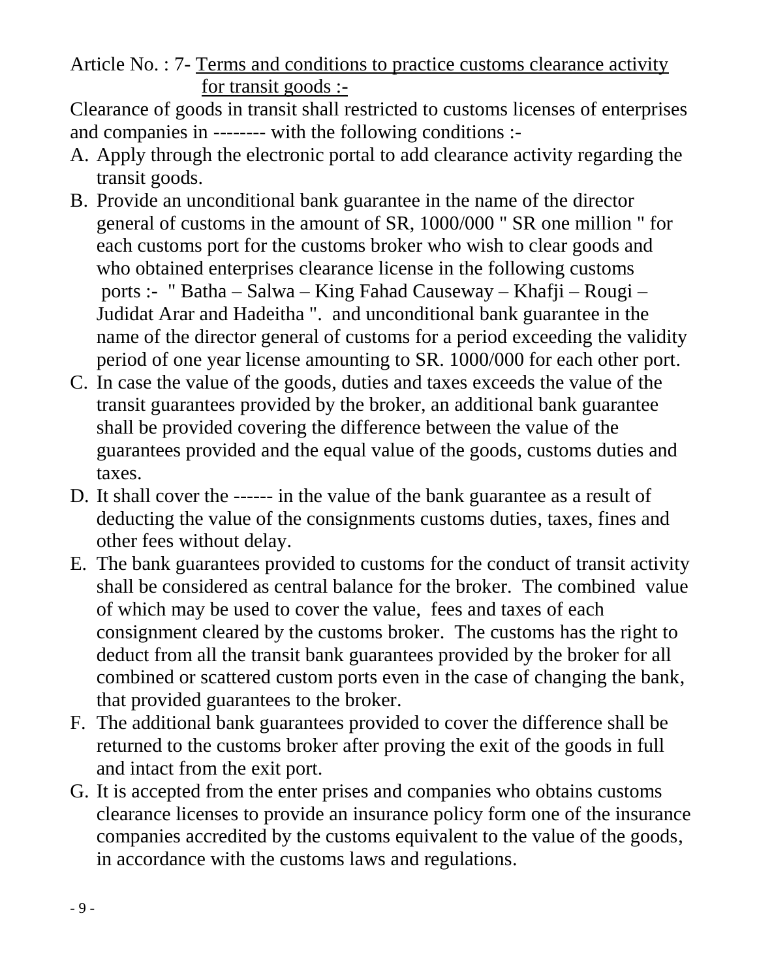Article No. : 7- Terms and conditions to practice customs clearance activity for transit goods :-

Clearance of goods in transit shall restricted to customs licenses of enterprises and companies in -------- with the following conditions :-

- A. Apply through the electronic portal to add clearance activity regarding the transit goods.
- B. Provide an unconditional bank guarantee in the name of the director general of customs in the amount of SR, 1000/000 " SR one million " for each customs port for the customs broker who wish to clear goods and who obtained enterprises clearance license in the following customs ports :- " Batha – Salwa – King Fahad Causeway – Khafji – Rougi – Judidat Arar and Hadeitha ". and unconditional bank guarantee in the name of the director general of customs for a period exceeding the validity period of one year license amounting to SR. 1000/000 for each other port.
- C. In case the value of the goods, duties and taxes exceeds the value of the transit guarantees provided by the broker, an additional bank guarantee shall be provided covering the difference between the value of the guarantees provided and the equal value of the goods, customs duties and taxes.
- D. It shall cover the ------ in the value of the bank guarantee as a result of deducting the value of the consignments customs duties, taxes, fines and other fees without delay.
- E. The bank guarantees provided to customs for the conduct of transit activity shall be considered as central balance for the broker. The combined value of which may be used to cover the value, fees and taxes of each consignment cleared by the customs broker. The customs has the right to deduct from all the transit bank guarantees provided by the broker for all combined or scattered custom ports even in the case of changing the bank, that provided guarantees to the broker.
- F. The additional bank guarantees provided to cover the difference shall be returned to the customs broker after proving the exit of the goods in full and intact from the exit port.
- G. It is accepted from the enter prises and companies who obtains customs clearance licenses to provide an insurance policy form one of the insurance companies accredited by the customs equivalent to the value of the goods, in accordance with the customs laws and regulations.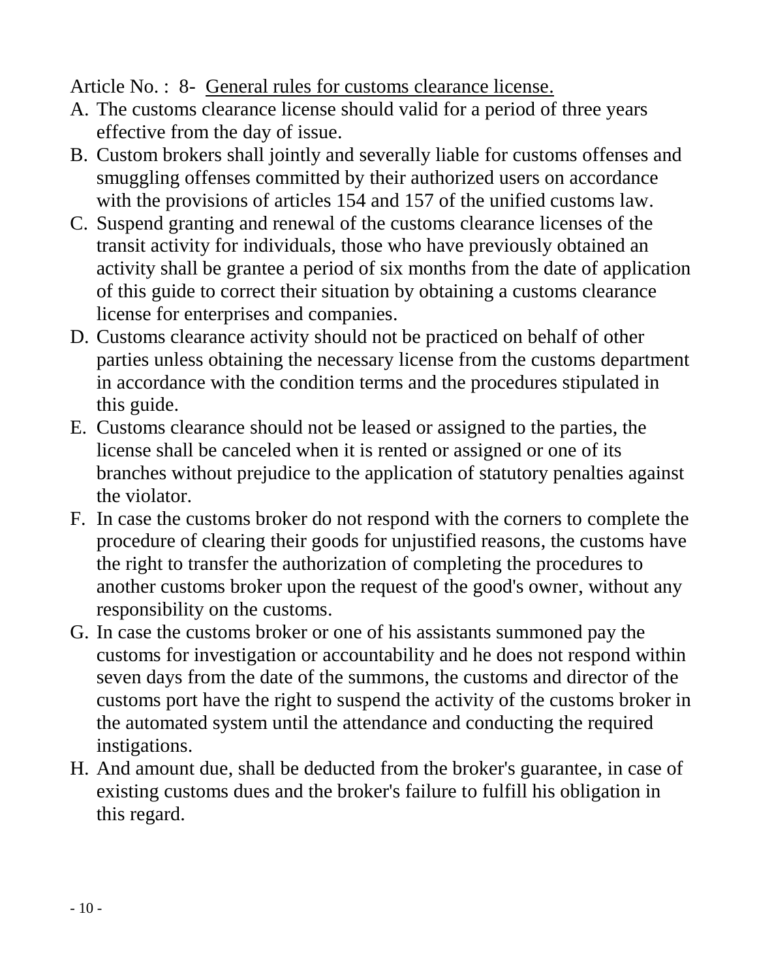## Article No. : 8- General rules for customs clearance license.

- A. The customs clearance license should valid for a period of three years effective from the day of issue.
- B. Custom brokers shall jointly and severally liable for customs offenses and smuggling offenses committed by their authorized users on accordance with the provisions of articles 154 and 157 of the unified customs law.
- C. Suspend granting and renewal of the customs clearance licenses of the transit activity for individuals, those who have previously obtained an activity shall be grantee a period of six months from the date of application of this guide to correct their situation by obtaining a customs clearance license for enterprises and companies.
- D. Customs clearance activity should not be practiced on behalf of other parties unless obtaining the necessary license from the customs department in accordance with the condition terms and the procedures stipulated in this guide.
- E. Customs clearance should not be leased or assigned to the parties, the license shall be canceled when it is rented or assigned or one of its branches without prejudice to the application of statutory penalties against the violator.
- F. In case the customs broker do not respond with the corners to complete the procedure of clearing their goods for unjustified reasons, the customs have the right to transfer the authorization of completing the procedures to another customs broker upon the request of the good's owner, without any responsibility on the customs.
- G. In case the customs broker or one of his assistants summoned pay the customs for investigation or accountability and he does not respond within seven days from the date of the summons, the customs and director of the customs port have the right to suspend the activity of the customs broker in the automated system until the attendance and conducting the required instigations.
- H. And amount due, shall be deducted from the broker's guarantee, in case of existing customs dues and the broker's failure to fulfill his obligation in this regard.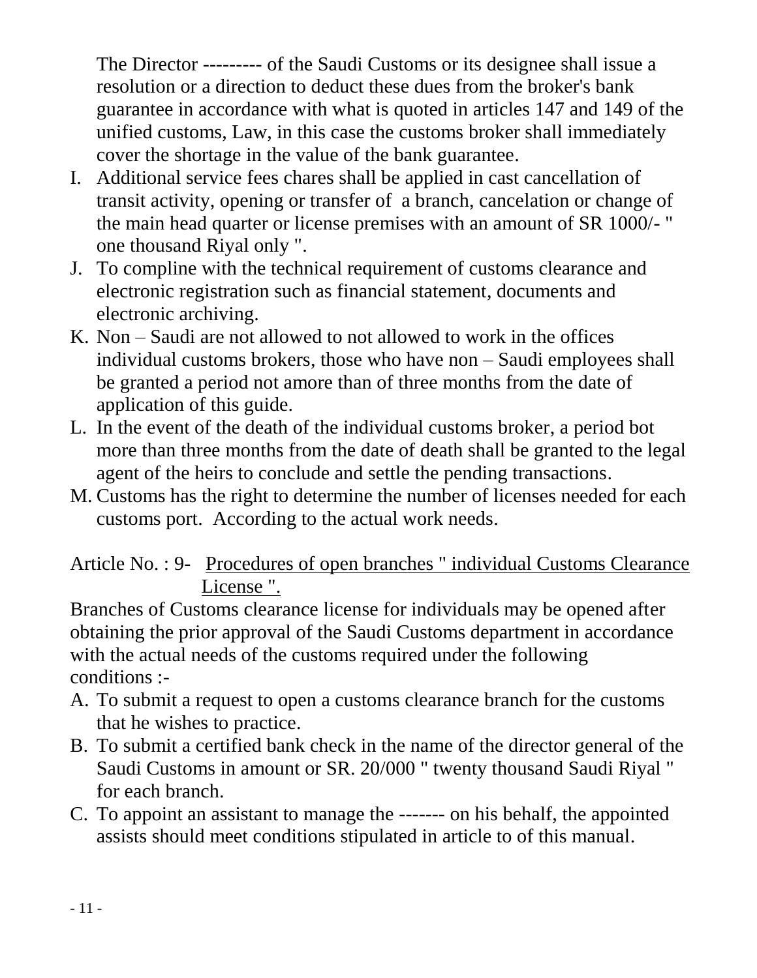The Director --------- of the Saudi Customs or its designee shall issue a resolution or a direction to deduct these dues from the broker's bank guarantee in accordance with what is quoted in articles 147 and 149 of the unified customs, Law, in this case the customs broker shall immediately cover the shortage in the value of the bank guarantee.

- I. Additional service fees chares shall be applied in cast cancellation of transit activity, opening or transfer of a branch, cancelation or change of the main head quarter or license premises with an amount of SR 1000/- " one thousand Riyal only ".
- J. To compline with the technical requirement of customs clearance and electronic registration such as financial statement, documents and electronic archiving.
- K. Non Saudi are not allowed to not allowed to work in the offices individual customs brokers, those who have non – Saudi employees shall be granted a period not amore than of three months from the date of application of this guide.
- L. In the event of the death of the individual customs broker, a period bot more than three months from the date of death shall be granted to the legal agent of the heirs to conclude and settle the pending transactions.
- M. Customs has the right to determine the number of licenses needed for each customs port. According to the actual work needs.

# Article No. : 9- Procedures of open branches " individual Customs Clearance License ".

Branches of Customs clearance license for individuals may be opened after obtaining the prior approval of the Saudi Customs department in accordance with the actual needs of the customs required under the following conditions :-

- A. To submit a request to open a customs clearance branch for the customs that he wishes to practice.
- B. To submit a certified bank check in the name of the director general of the Saudi Customs in amount or SR. 20/000 " twenty thousand Saudi Riyal " for each branch.
- C. To appoint an assistant to manage the ------- on his behalf, the appointed assists should meet conditions stipulated in article to of this manual.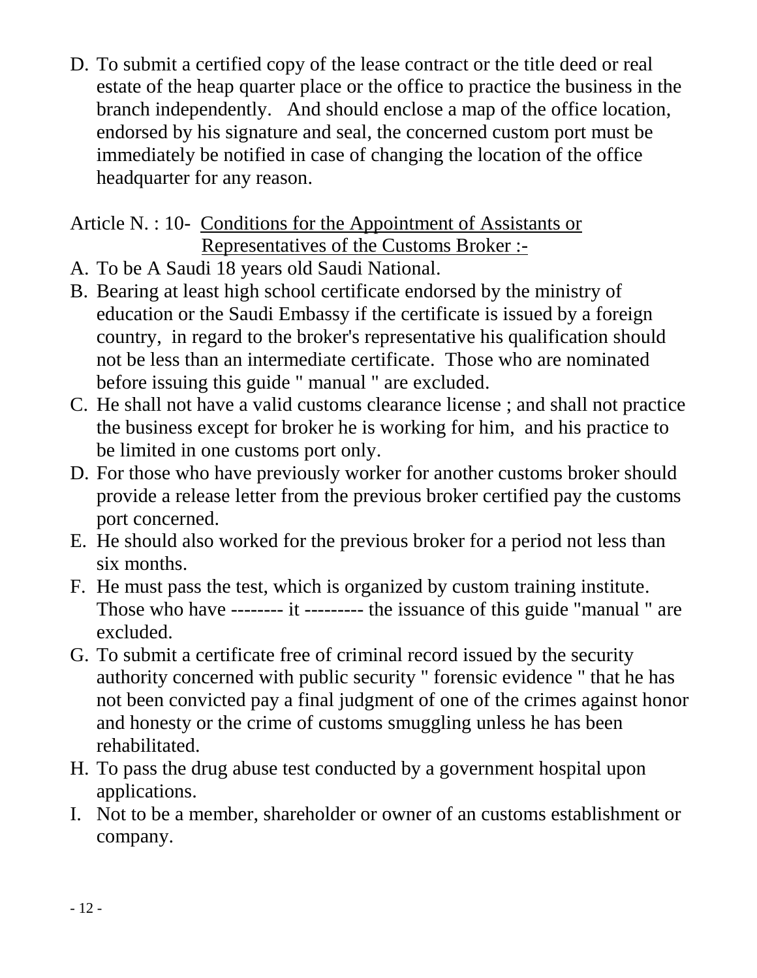D. To submit a certified copy of the lease contract or the title deed or real estate of the heap quarter place or the office to practice the business in the branch independently. And should enclose a map of the office location, endorsed by his signature and seal, the concerned custom port must be immediately be notified in case of changing the location of the office headquarter for any reason.

Article N. : 10- Conditions for the Appointment of Assistants or Representatives of the Customs Broker :-

- A. To be A Saudi 18 years old Saudi National.
- B. Bearing at least high school certificate endorsed by the ministry of education or the Saudi Embassy if the certificate is issued by a foreign country, in regard to the broker's representative his qualification should not be less than an intermediate certificate. Those who are nominated before issuing this guide " manual " are excluded.
- C. He shall not have a valid customs clearance license ; and shall not practice the business except for broker he is working for him, and his practice to be limited in one customs port only.
- D. For those who have previously worker for another customs broker should provide a release letter from the previous broker certified pay the customs port concerned.
- E. He should also worked for the previous broker for a period not less than six months.
- F. He must pass the test, which is organized by custom training institute. Those who have -------- it --------- the issuance of this guide "manual " are excluded.
- G. To submit a certificate free of criminal record issued by the security authority concerned with public security " forensic evidence " that he has not been convicted pay a final judgment of one of the crimes against honor and honesty or the crime of customs smuggling unless he has been rehabilitated.
- H. To pass the drug abuse test conducted by a government hospital upon applications.
- I. Not to be a member, shareholder or owner of an customs establishment or company.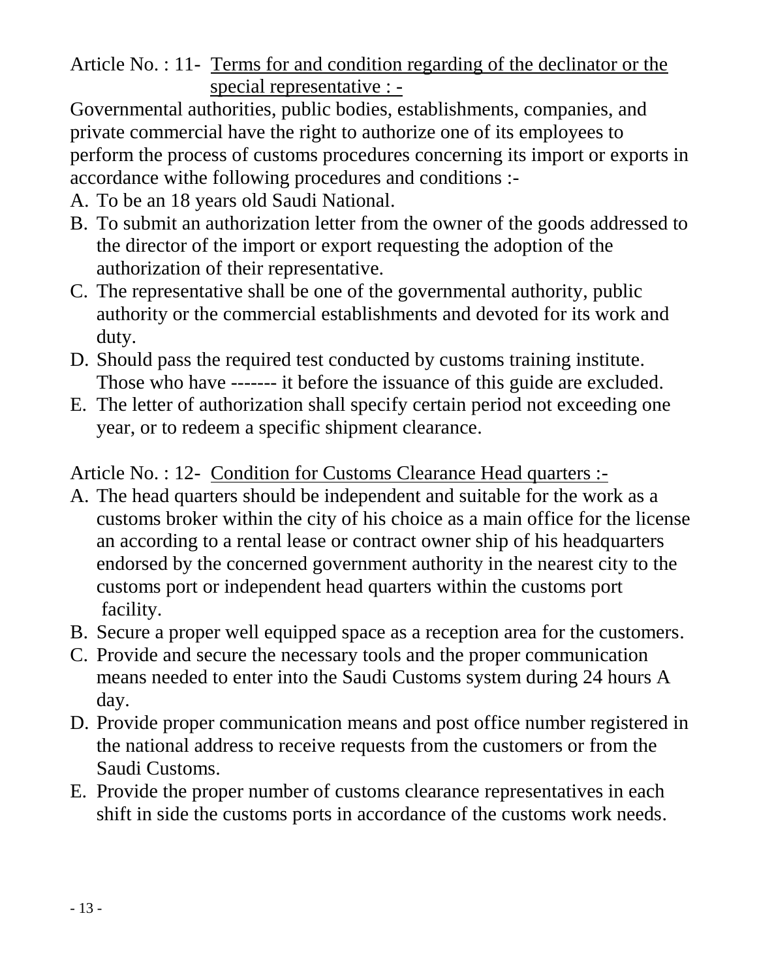Article No. : 11- Terms for and condition regarding of the declinator or the special representative : -

Governmental authorities, public bodies, establishments, companies, and private commercial have the right to authorize one of its employees to perform the process of customs procedures concerning its import or exports in accordance withe following procedures and conditions :-

- A. To be an 18 years old Saudi National.
- B. To submit an authorization letter from the owner of the goods addressed to the director of the import or export requesting the adoption of the authorization of their representative.
- C. The representative shall be one of the governmental authority, public authority or the commercial establishments and devoted for its work and duty.
- D. Should pass the required test conducted by customs training institute. Those who have ------- it before the issuance of this guide are excluded.
- E. The letter of authorization shall specify certain period not exceeding one year, or to redeem a specific shipment clearance.

Article No. : 12- Condition for Customs Clearance Head quarters :-

- A. The head quarters should be independent and suitable for the work as a customs broker within the city of his choice as a main office for the license an according to a rental lease or contract owner ship of his headquarters endorsed by the concerned government authority in the nearest city to the customs port or independent head quarters within the customs port facility.
- B. Secure a proper well equipped space as a reception area for the customers.
- C. Provide and secure the necessary tools and the proper communication means needed to enter into the Saudi Customs system during 24 hours A day.
- D. Provide proper communication means and post office number registered in the national address to receive requests from the customers or from the Saudi Customs.
- E. Provide the proper number of customs clearance representatives in each shift in side the customs ports in accordance of the customs work needs.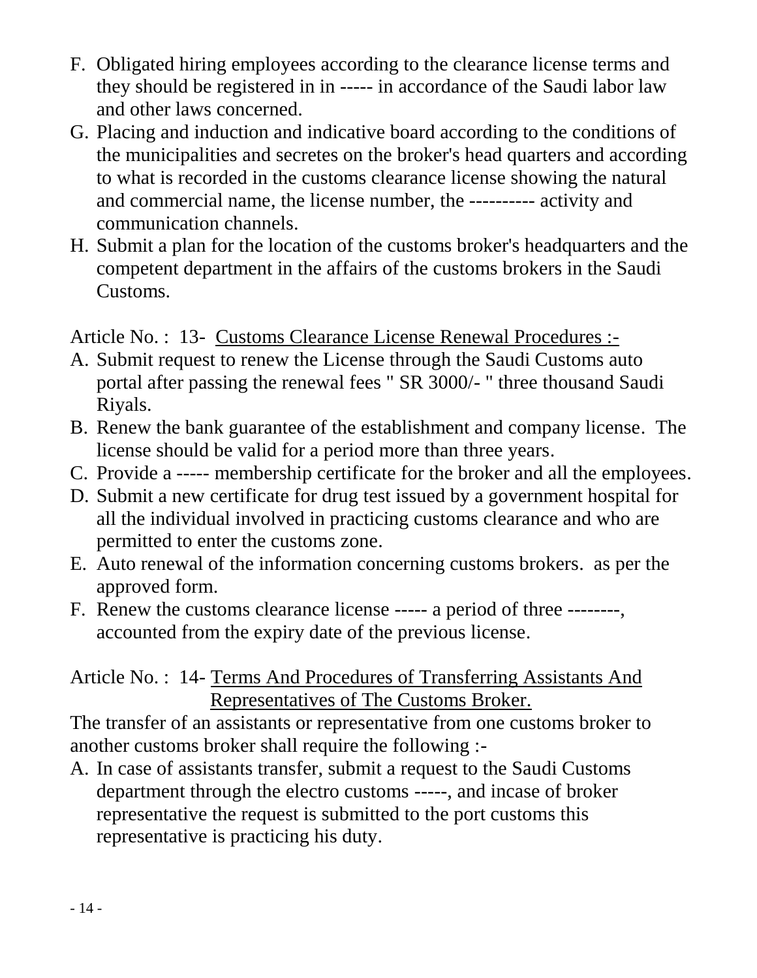- F. Obligated hiring employees according to the clearance license terms and they should be registered in in ----- in accordance of the Saudi labor law and other laws concerned.
- G. Placing and induction and indicative board according to the conditions of the municipalities and secretes on the broker's head quarters and according to what is recorded in the customs clearance license showing the natural and commercial name, the license number, the ---------- activity and communication channels.
- H. Submit a plan for the location of the customs broker's headquarters and the competent department in the affairs of the customs brokers in the Saudi Customs.

Article No. : 13- Customs Clearance License Renewal Procedures :-

- A. Submit request to renew the License through the Saudi Customs auto portal after passing the renewal fees " SR 3000/- " three thousand Saudi Riyals.
- B. Renew the bank guarantee of the establishment and company license. The license should be valid for a period more than three years.
- C. Provide a ----- membership certificate for the broker and all the employees.
- D. Submit a new certificate for drug test issued by a government hospital for all the individual involved in practicing customs clearance and who are permitted to enter the customs zone.
- E. Auto renewal of the information concerning customs brokers. as per the approved form.
- F. Renew the customs clearance license ----- a period of three --------, accounted from the expiry date of the previous license.

## Article No. : 14- Terms And Procedures of Transferring Assistants And Representatives of The Customs Broker.

The transfer of an assistants or representative from one customs broker to another customs broker shall require the following :-

A. In case of assistants transfer, submit a request to the Saudi Customs department through the electro customs -----, and incase of broker representative the request is submitted to the port customs this representative is practicing his duty.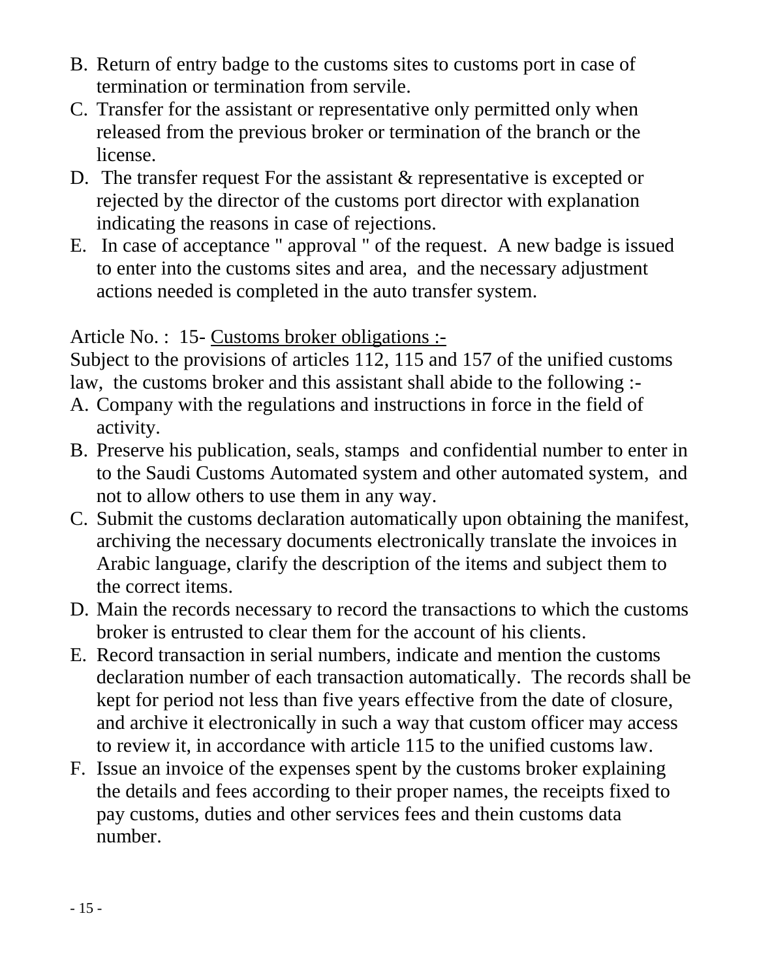- B. Return of entry badge to the customs sites to customs port in case of termination or termination from servile.
- C. Transfer for the assistant or representative only permitted only when released from the previous broker or termination of the branch or the license.
- D. The transfer request For the assistant & representative is excepted or rejected by the director of the customs port director with explanation indicating the reasons in case of rejections.
- E. In case of acceptance " approval " of the request. A new badge is issued to enter into the customs sites and area, and the necessary adjustment actions needed is completed in the auto transfer system.

Article No. : 15- Customs broker obligations :-

Subject to the provisions of articles 112, 115 and 157 of the unified customs law, the customs broker and this assistant shall abide to the following :-

- A. Company with the regulations and instructions in force in the field of activity.
- B. Preserve his publication, seals, stamps and confidential number to enter in to the Saudi Customs Automated system and other automated system, and not to allow others to use them in any way.
- C. Submit the customs declaration automatically upon obtaining the manifest, archiving the necessary documents electronically translate the invoices in Arabic language, clarify the description of the items and subject them to the correct items.
- D. Main the records necessary to record the transactions to which the customs broker is entrusted to clear them for the account of his clients.
- E. Record transaction in serial numbers, indicate and mention the customs declaration number of each transaction automatically. The records shall be kept for period not less than five years effective from the date of closure, and archive it electronically in such a way that custom officer may access to review it, in accordance with article 115 to the unified customs law.
- F. Issue an invoice of the expenses spent by the customs broker explaining the details and fees according to their proper names, the receipts fixed to pay customs, duties and other services fees and thein customs data number.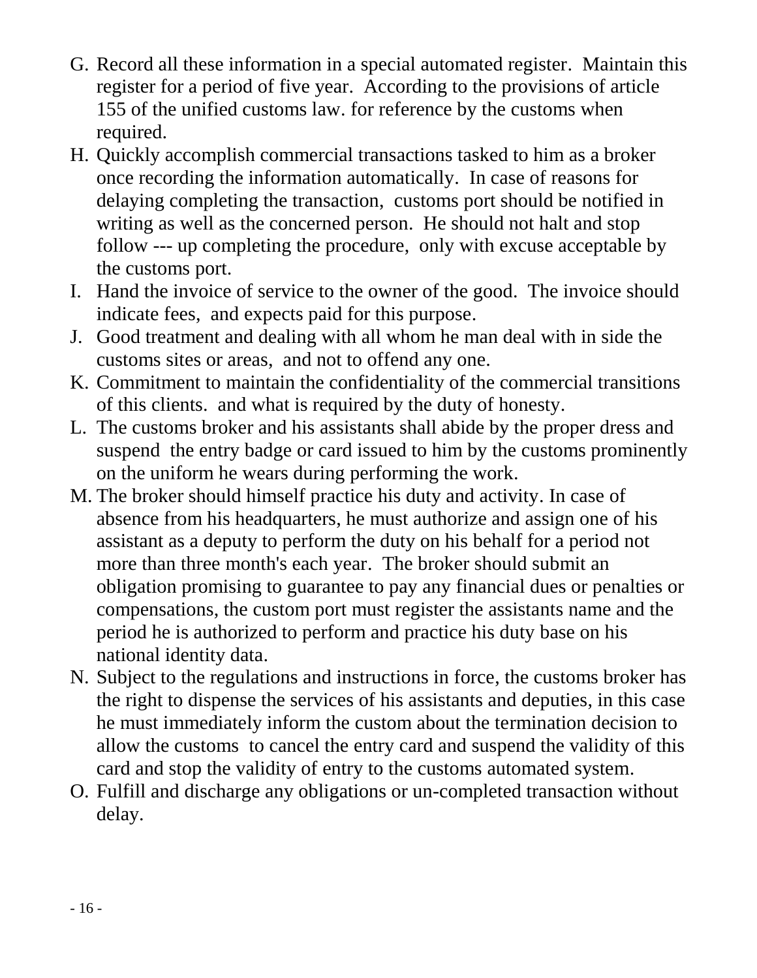- G. Record all these information in a special automated register. Maintain this register for a period of five year. According to the provisions of article 155 of the unified customs law. for reference by the customs when required.
- H. Quickly accomplish commercial transactions tasked to him as a broker once recording the information automatically. In case of reasons for delaying completing the transaction, customs port should be notified in writing as well as the concerned person. He should not halt and stop follow --- up completing the procedure, only with excuse acceptable by the customs port.
- I. Hand the invoice of service to the owner of the good. The invoice should indicate fees, and expects paid for this purpose.
- J. Good treatment and dealing with all whom he man deal with in side the customs sites or areas, and not to offend any one.
- K. Commitment to maintain the confidentiality of the commercial transitions of this clients. and what is required by the duty of honesty.
- L. The customs broker and his assistants shall abide by the proper dress and suspend the entry badge or card issued to him by the customs prominently on the uniform he wears during performing the work.
- M. The broker should himself practice his duty and activity. In case of absence from his headquarters, he must authorize and assign one of his assistant as a deputy to perform the duty on his behalf for a period not more than three month's each year. The broker should submit an obligation promising to guarantee to pay any financial dues or penalties or compensations, the custom port must register the assistants name and the period he is authorized to perform and practice his duty base on his national identity data.
- N. Subject to the regulations and instructions in force, the customs broker has the right to dispense the services of his assistants and deputies, in this case he must immediately inform the custom about the termination decision to allow the customs to cancel the entry card and suspend the validity of this card and stop the validity of entry to the customs automated system.
- O. Fulfill and discharge any obligations or un-completed transaction without delay.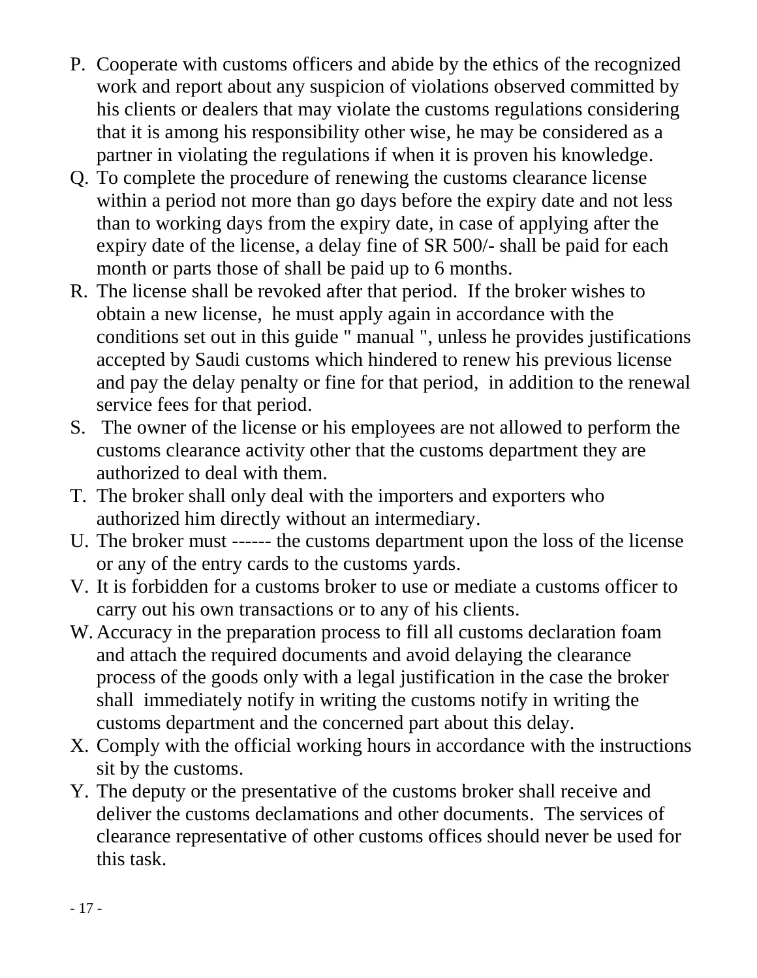- P. Cooperate with customs officers and abide by the ethics of the recognized work and report about any suspicion of violations observed committed by his clients or dealers that may violate the customs regulations considering that it is among his responsibility other wise, he may be considered as a partner in violating the regulations if when it is proven his knowledge.
- Q. To complete the procedure of renewing the customs clearance license within a period not more than go days before the expiry date and not less than to working days from the expiry date, in case of applying after the expiry date of the license, a delay fine of SR 500/- shall be paid for each month or parts those of shall be paid up to 6 months.
- R. The license shall be revoked after that period. If the broker wishes to obtain a new license, he must apply again in accordance with the conditions set out in this guide " manual ", unless he provides justifications accepted by Saudi customs which hindered to renew his previous license and pay the delay penalty or fine for that period, in addition to the renewal service fees for that period.
- S. The owner of the license or his employees are not allowed to perform the customs clearance activity other that the customs department they are authorized to deal with them.
- T. The broker shall only deal with the importers and exporters who authorized him directly without an intermediary.
- U. The broker must ------ the customs department upon the loss of the license or any of the entry cards to the customs yards.
- V. It is forbidden for a customs broker to use or mediate a customs officer to carry out his own transactions or to any of his clients.
- W. Accuracy in the preparation process to fill all customs declaration foam and attach the required documents and avoid delaying the clearance process of the goods only with a legal justification in the case the broker shall immediately notify in writing the customs notify in writing the customs department and the concerned part about this delay.
- X. Comply with the official working hours in accordance with the instructions sit by the customs.
- Y. The deputy or the presentative of the customs broker shall receive and deliver the customs declamations and other documents. The services of clearance representative of other customs offices should never be used for this task.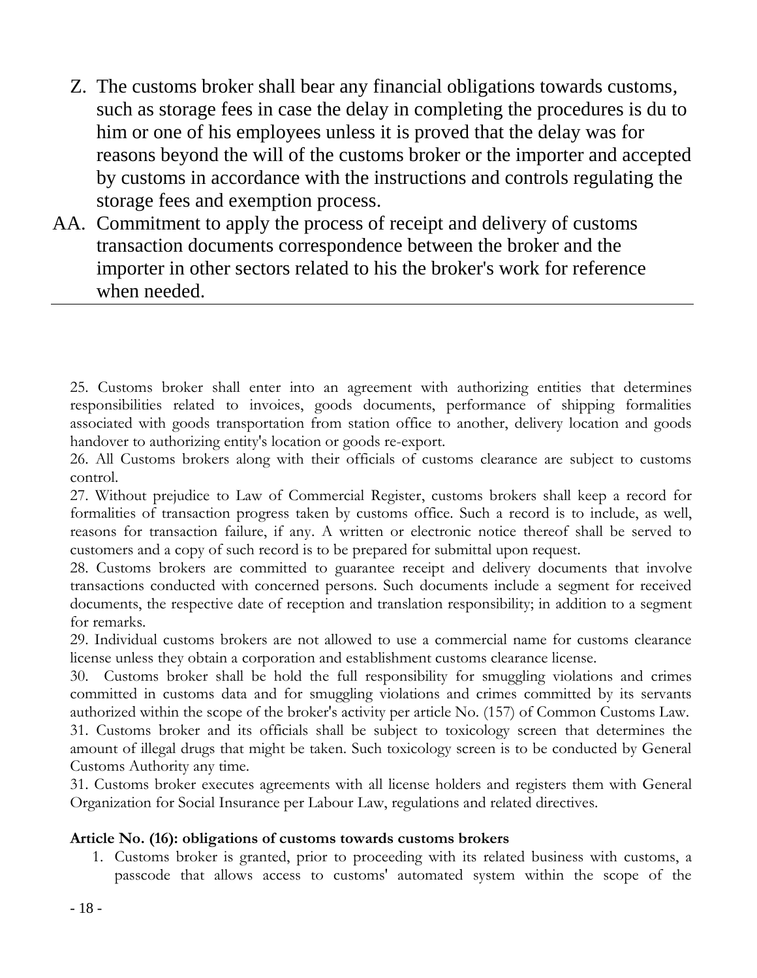- Z. The customs broker shall bear any financial obligations towards customs, such as storage fees in case the delay in completing the procedures is du to him or one of his employees unless it is proved that the delay was for reasons beyond the will of the customs broker or the importer and accepted by customs in accordance with the instructions and controls regulating the storage fees and exemption process.
- AA. Commitment to apply the process of receipt and delivery of customs transaction documents correspondence between the broker and the importer in other sectors related to his the broker's work for reference when needed.

25. Customs broker shall enter into an agreement with authorizing entities that determines responsibilities related to invoices, goods documents, performance of shipping formalities associated with goods transportation from station office to another, delivery location and goods handover to authorizing entity's location or goods re-export.

26. All Customs brokers along with their officials of customs clearance are subject to customs control.

27. Without prejudice to Law of Commercial Register, customs brokers shall keep a record for formalities of transaction progress taken by customs office. Such a record is to include, as well, reasons for transaction failure, if any. A written or electronic notice thereof shall be served to customers and a copy of such record is to be prepared for submittal upon request.

28. Customs brokers are committed to guarantee receipt and delivery documents that involve transactions conducted with concerned persons. Such documents include a segment for received documents, the respective date of reception and translation responsibility; in addition to a segment for remarks.

29. Individual customs brokers are not allowed to use a commercial name for customs clearance license unless they obtain a corporation and establishment customs clearance license.

30. Customs broker shall be hold the full responsibility for smuggling violations and crimes committed in customs data and for smuggling violations and crimes committed by its servants authorized within the scope of the broker's activity per article No. (157) of Common Customs Law. 31. Customs broker and its officials shall be subject to toxicology screen that determines the amount of illegal drugs that might be taken. Such toxicology screen is to be conducted by General Customs Authority any time.

31. Customs broker executes agreements with all license holders and registers them with General Organization for Social Insurance per Labour Law, regulations and related directives.

#### **Article No. (16): obligations of customs towards customs brokers**

1. Customs broker is granted, prior to proceeding with its related business with customs, a passcode that allows access to customs' automated system within the scope of the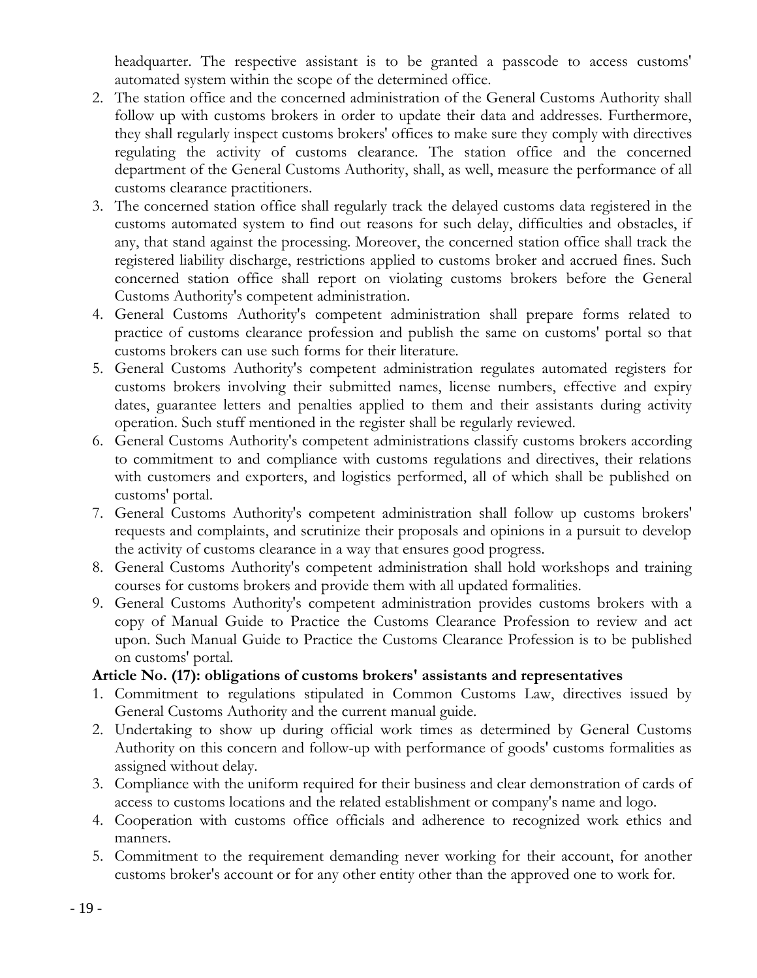headquarter. The respective assistant is to be granted a passcode to access customs' automated system within the scope of the determined office.

- 2. The station office and the concerned administration of the General Customs Authority shall follow up with customs brokers in order to update their data and addresses. Furthermore, they shall regularly inspect customs brokers' offices to make sure they comply with directives regulating the activity of customs clearance. The station office and the concerned department of the General Customs Authority, shall, as well, measure the performance of all customs clearance practitioners.
- 3. The concerned station office shall regularly track the delayed customs data registered in the customs automated system to find out reasons for such delay, difficulties and obstacles, if any, that stand against the processing. Moreover, the concerned station office shall track the registered liability discharge, restrictions applied to customs broker and accrued fines. Such concerned station office shall report on violating customs brokers before the General Customs Authority's competent administration.
- 4. General Customs Authority's competent administration shall prepare forms related to practice of customs clearance profession and publish the same on customs' portal so that customs brokers can use such forms for their literature.
- 5. General Customs Authority's competent administration regulates automated registers for customs brokers involving their submitted names, license numbers, effective and expiry dates, guarantee letters and penalties applied to them and their assistants during activity operation. Such stuff mentioned in the register shall be regularly reviewed.
- 6. General Customs Authority's competent administrations classify customs brokers according to commitment to and compliance with customs regulations and directives, their relations with customers and exporters, and logistics performed, all of which shall be published on customs' portal.
- 7. General Customs Authority's competent administration shall follow up customs brokers' requests and complaints, and scrutinize their proposals and opinions in a pursuit to develop the activity of customs clearance in a way that ensures good progress.
- 8. General Customs Authority's competent administration shall hold workshops and training courses for customs brokers and provide them with all updated formalities.
- 9. General Customs Authority's competent administration provides customs brokers with a copy of Manual Guide to Practice the Customs Clearance Profession to review and act upon. Such Manual Guide to Practice the Customs Clearance Profession is to be published on customs' portal.

#### **Article No. (17): obligations of customs brokers' assistants and representatives**

- 1. Commitment to regulations stipulated in Common Customs Law, directives issued by General Customs Authority and the current manual guide.
- 2. Undertaking to show up during official work times as determined by General Customs Authority on this concern and follow-up with performance of goods' customs formalities as assigned without delay.
- 3. Compliance with the uniform required for their business and clear demonstration of cards of access to customs locations and the related establishment or company's name and logo.
- 4. Cooperation with customs office officials and adherence to recognized work ethics and manners.
- 5. Commitment to the requirement demanding never working for their account, for another customs broker's account or for any other entity other than the approved one to work for.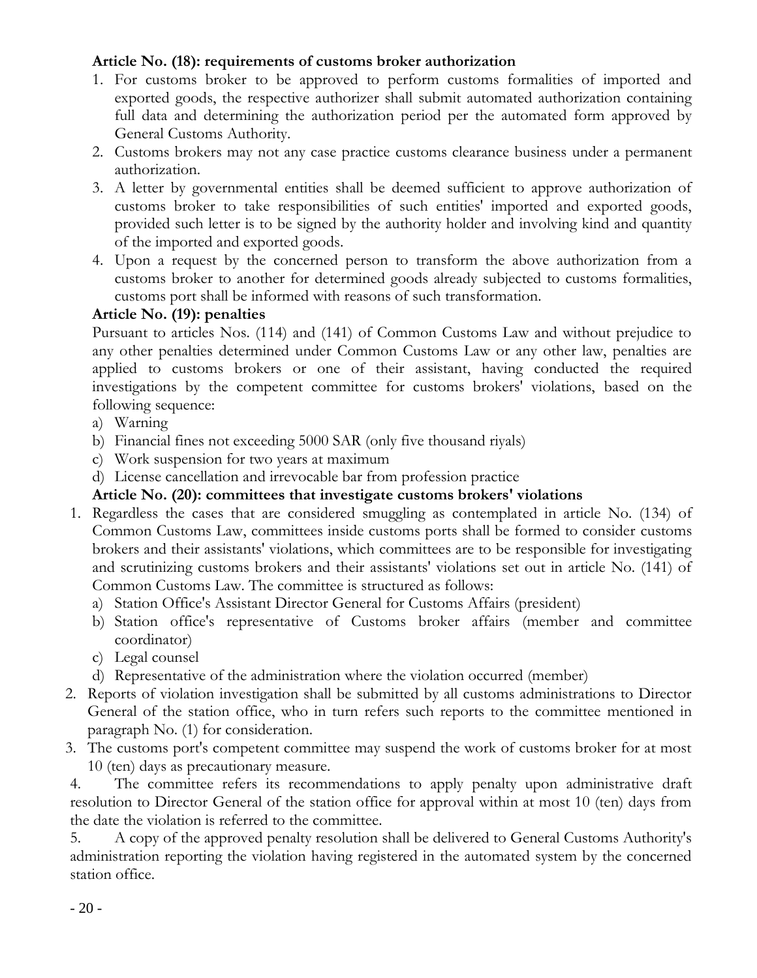#### **Article No. (18): requirements of customs broker authorization**

- 1. For customs broker to be approved to perform customs formalities of imported and exported goods, the respective authorizer shall submit automated authorization containing full data and determining the authorization period per the automated form approved by General Customs Authority.
- 2. Customs brokers may not any case practice customs clearance business under a permanent authorization.
- 3. A letter by governmental entities shall be deemed sufficient to approve authorization of customs broker to take responsibilities of such entities' imported and exported goods, provided such letter is to be signed by the authority holder and involving kind and quantity of the imported and exported goods.
- 4. Upon a request by the concerned person to transform the above authorization from a customs broker to another for determined goods already subjected to customs formalities, customs port shall be informed with reasons of such transformation.

#### **Article No. (19): penalties**

Pursuant to articles Nos. (114) and (141) of Common Customs Law and without prejudice to any other penalties determined under Common Customs Law or any other law, penalties are applied to customs brokers or one of their assistant, having conducted the required investigations by the competent committee for customs brokers' violations, based on the following sequence:

- a) Warning
- b) Financial fines not exceeding 5000 SAR (only five thousand riyals)
- c) Work suspension for two years at maximum
- d) License cancellation and irrevocable bar from profession practice

#### **Article No. (20): committees that investigate customs brokers' violations**

- 1. Regardless the cases that are considered smuggling as contemplated in article No. (134) of Common Customs Law, committees inside customs ports shall be formed to consider customs brokers and their assistants' violations, which committees are to be responsible for investigating and scrutinizing customs brokers and their assistants' violations set out in article No. (141) of Common Customs Law. The committee is structured as follows:
	- a) Station Office's Assistant Director General for Customs Affairs (president)
	- b) Station office's representative of Customs broker affairs (member and committee coordinator)
	- c) Legal counsel
	- d) Representative of the administration where the violation occurred (member)
- 2. Reports of violation investigation shall be submitted by all customs administrations to Director General of the station office, who in turn refers such reports to the committee mentioned in paragraph No. (1) for consideration.
- 3. The customs port's competent committee may suspend the work of customs broker for at most 10 (ten) days as precautionary measure.

4. The committee refers its recommendations to apply penalty upon administrative draft resolution to Director General of the station office for approval within at most 10 (ten) days from the date the violation is referred to the committee.

5. A copy of the approved penalty resolution shall be delivered to General Customs Authority's administration reporting the violation having registered in the automated system by the concerned station office.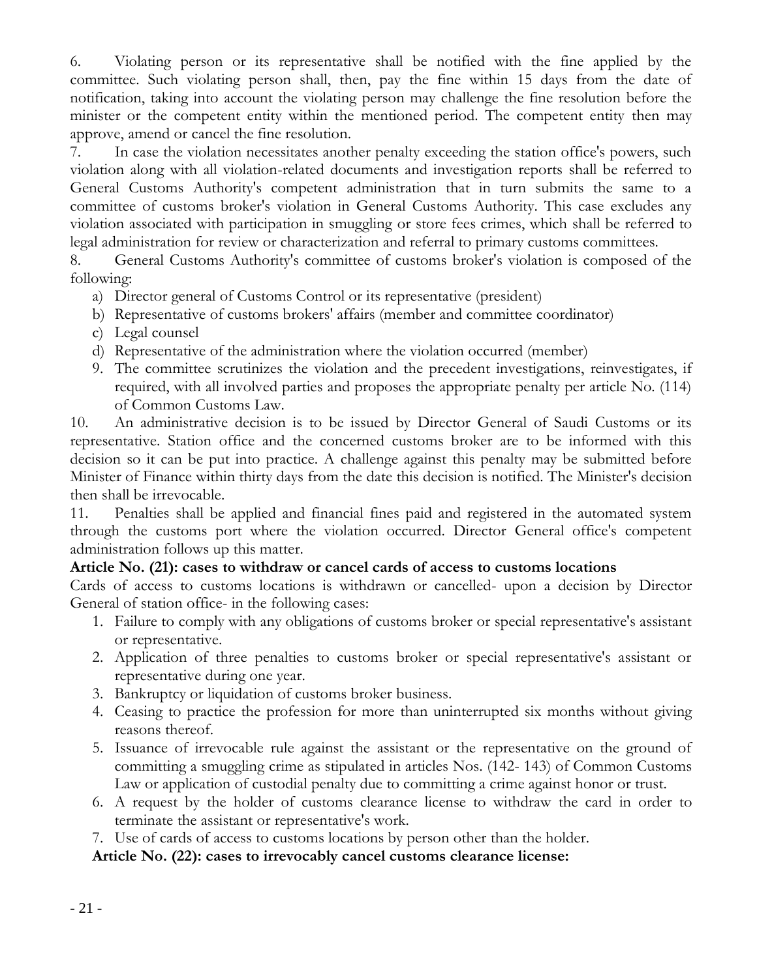6. Violating person or its representative shall be notified with the fine applied by the committee. Such violating person shall, then, pay the fine within 15 days from the date of notification, taking into account the violating person may challenge the fine resolution before the minister or the competent entity within the mentioned period. The competent entity then may approve, amend or cancel the fine resolution.

7. In case the violation necessitates another penalty exceeding the station office's powers, such violation along with all violation-related documents and investigation reports shall be referred to General Customs Authority's competent administration that in turn submits the same to a committee of customs broker's violation in General Customs Authority. This case excludes any violation associated with participation in smuggling or store fees crimes, which shall be referred to legal administration for review or characterization and referral to primary customs committees.

8. General Customs Authority's committee of customs broker's violation is composed of the following:

- a) Director general of Customs Control or its representative (president)
- b) Representative of customs brokers' affairs (member and committee coordinator)
- c) Legal counsel
- d) Representative of the administration where the violation occurred (member)
- 9. The committee scrutinizes the violation and the precedent investigations, reinvestigates, if required, with all involved parties and proposes the appropriate penalty per article No. (114) of Common Customs Law.

10. An administrative decision is to be issued by Director General of Saudi Customs or its representative. Station office and the concerned customs broker are to be informed with this decision so it can be put into practice. A challenge against this penalty may be submitted before Minister of Finance within thirty days from the date this decision is notified. The Minister's decision then shall be irrevocable.

11. Penalties shall be applied and financial fines paid and registered in the automated system through the customs port where the violation occurred. Director General office's competent administration follows up this matter.

#### **Article No. (21): cases to withdraw or cancel cards of access to customs locations**

Cards of access to customs locations is withdrawn or cancelled- upon a decision by Director General of station office- in the following cases:

- 1. Failure to comply with any obligations of customs broker or special representative's assistant or representative.
- 2. Application of three penalties to customs broker or special representative's assistant or representative during one year.
- 3. Bankruptcy or liquidation of customs broker business.
- 4. Ceasing to practice the profession for more than uninterrupted six months without giving reasons thereof.
- 5. Issuance of irrevocable rule against the assistant or the representative on the ground of committing a smuggling crime as stipulated in articles Nos. (142- 143) of Common Customs Law or application of custodial penalty due to committing a crime against honor or trust.
- 6. A request by the holder of customs clearance license to withdraw the card in order to terminate the assistant or representative's work.
- 7. Use of cards of access to customs locations by person other than the holder.

**Article No. (22): cases to irrevocably cancel customs clearance license:**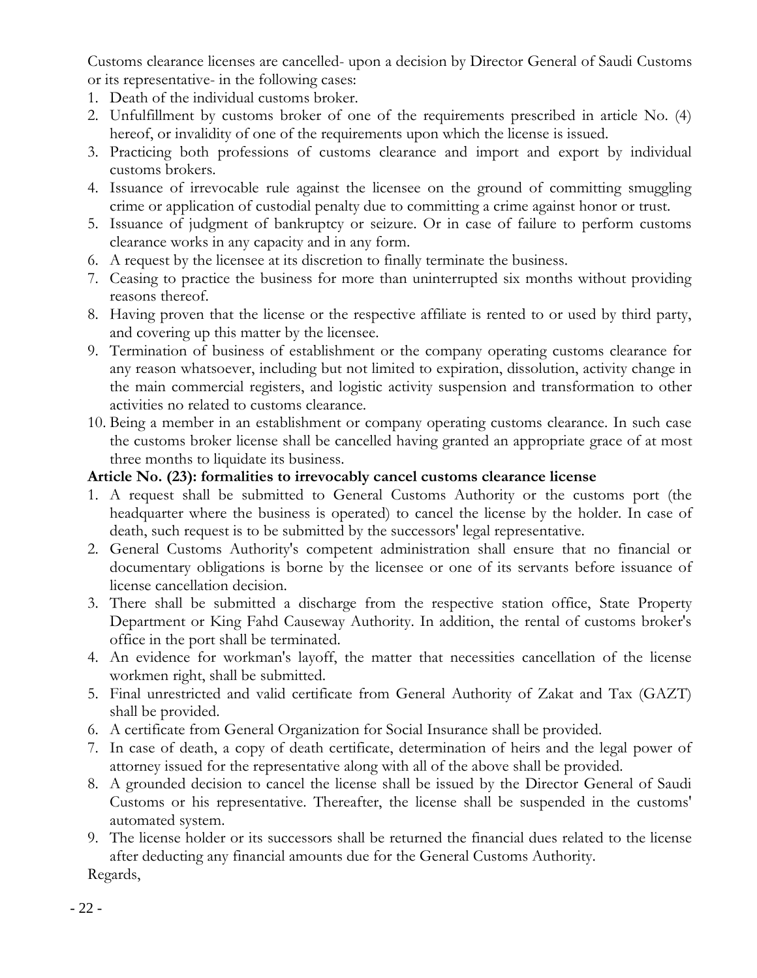Customs clearance licenses are cancelled- upon a decision by Director General of Saudi Customs or its representative- in the following cases:

- 1. Death of the individual customs broker.
- 2. Unfulfillment by customs broker of one of the requirements prescribed in article No. (4) hereof, or invalidity of one of the requirements upon which the license is issued.
- 3. Practicing both professions of customs clearance and import and export by individual customs brokers.
- 4. Issuance of irrevocable rule against the licensee on the ground of committing smuggling crime or application of custodial penalty due to committing a crime against honor or trust.
- 5. Issuance of judgment of bankruptcy or seizure. Or in case of failure to perform customs clearance works in any capacity and in any form.
- 6. A request by the licensee at its discretion to finally terminate the business.
- 7. Ceasing to practice the business for more than uninterrupted six months without providing reasons thereof.
- 8. Having proven that the license or the respective affiliate is rented to or used by third party, and covering up this matter by the licensee.
- 9. Termination of business of establishment or the company operating customs clearance for any reason whatsoever, including but not limited to expiration, dissolution, activity change in the main commercial registers, and logistic activity suspension and transformation to other activities no related to customs clearance.
- 10. Being a member in an establishment or company operating customs clearance. In such case the customs broker license shall be cancelled having granted an appropriate grace of at most three months to liquidate its business.

#### **Article No. (23): formalities to irrevocably cancel customs clearance license**

- 1. A request shall be submitted to General Customs Authority or the customs port (the headquarter where the business is operated) to cancel the license by the holder. In case of death, such request is to be submitted by the successors' legal representative.
- 2. General Customs Authority's competent administration shall ensure that no financial or documentary obligations is borne by the licensee or one of its servants before issuance of license cancellation decision.
- 3. There shall be submitted a discharge from the respective station office, State Property Department or King Fahd Causeway Authority. In addition, the rental of customs broker's office in the port shall be terminated.
- 4. An evidence for workman's layoff, the matter that necessities cancellation of the license workmen right, shall be submitted.
- 5. Final unrestricted and valid certificate from General Authority of Zakat and Tax (GAZT) shall be provided.
- 6. A certificate from General Organization for Social Insurance shall be provided.
- 7. In case of death, a copy of death certificate, determination of heirs and the legal power of attorney issued for the representative along with all of the above shall be provided.
- 8. A grounded decision to cancel the license shall be issued by the Director General of Saudi Customs or his representative. Thereafter, the license shall be suspended in the customs' automated system.
- 9. The license holder or its successors shall be returned the financial dues related to the license after deducting any financial amounts due for the General Customs Authority.

Regards,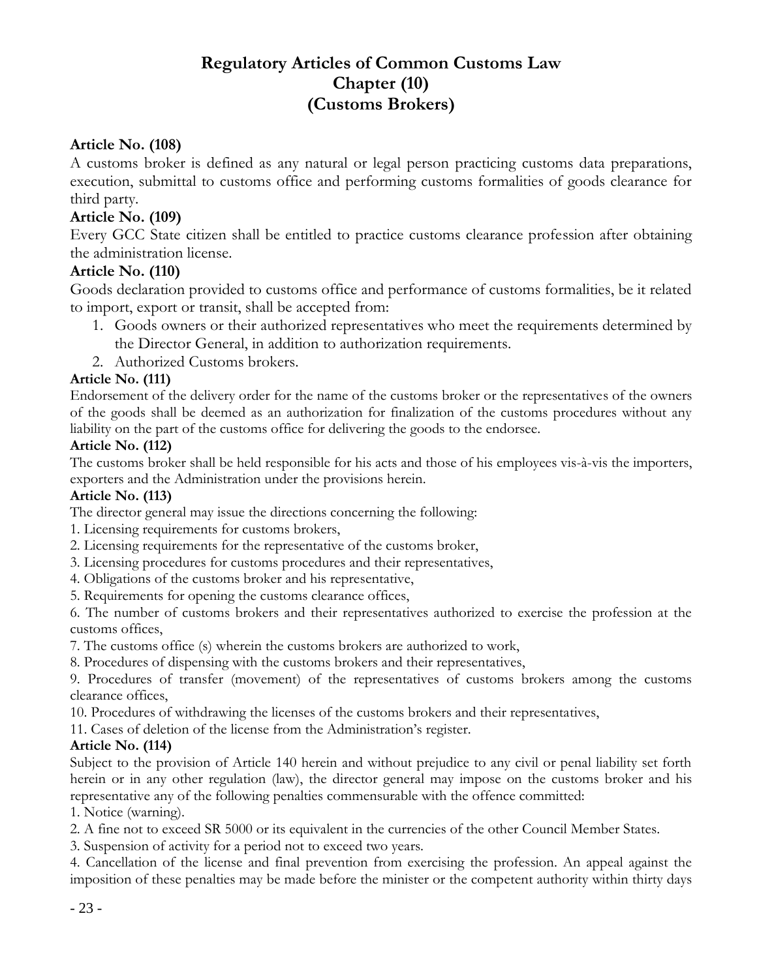### **Regulatory Articles of Common Customs Law Chapter (10) (Customs Brokers)**

#### **Article No. (108)**

A customs broker is defined as any natural or legal person practicing customs data preparations, execution, submittal to customs office and performing customs formalities of goods clearance for third party.

#### **Article No. (109)**

Every GCC State citizen shall be entitled to practice customs clearance profession after obtaining the administration license.

#### **Article No. (110)**

Goods declaration provided to customs office and performance of customs formalities, be it related to import, export or transit, shall be accepted from:

- 1. Goods owners or their authorized representatives who meet the requirements determined by the Director General, in addition to authorization requirements.
- 2. Authorized Customs brokers.

#### **Article No. (111)**

Endorsement of the delivery order for the name of the customs broker or the representatives of the owners of the goods shall be deemed as an authorization for finalization of the customs procedures without any liability on the part of the customs office for delivering the goods to the endorsee.

#### **Article No. (112)**

The customs broker shall be held responsible for his acts and those of his employees vis-à-vis the importers, exporters and the Administration under the provisions herein.

#### **Article No. (113)**

The director general may issue the directions concerning the following:

- 1. Licensing requirements for customs brokers,
- 2. Licensing requirements for the representative of the customs broker,
- 3. Licensing procedures for customs procedures and their representatives,
- 4. Obligations of the customs broker and his representative,
- 5. Requirements for opening the customs clearance offices,

6. The number of customs brokers and their representatives authorized to exercise the profession at the customs offices,

7. The customs office (s) wherein the customs brokers are authorized to work,

8. Procedures of dispensing with the customs brokers and their representatives,

9. Procedures of transfer (movement) of the representatives of customs brokers among the customs clearance offices,

10. Procedures of withdrawing the licenses of the customs brokers and their representatives,

11. Cases of deletion of the license from the Administration's register.

#### **Article No. (114)**

Subject to the provision of Article 140 herein and without prejudice to any civil or penal liability set forth herein or in any other regulation (law), the director general may impose on the customs broker and his representative any of the following penalties commensurable with the offence committed:

1. Notice (warning).

2. A fine not to exceed SR 5000 or its equivalent in the currencies of the other Council Member States.

3. Suspension of activity for a period not to exceed two years.

4. Cancellation of the license and final prevention from exercising the profession. An appeal against the imposition of these penalties may be made before the minister or the competent authority within thirty days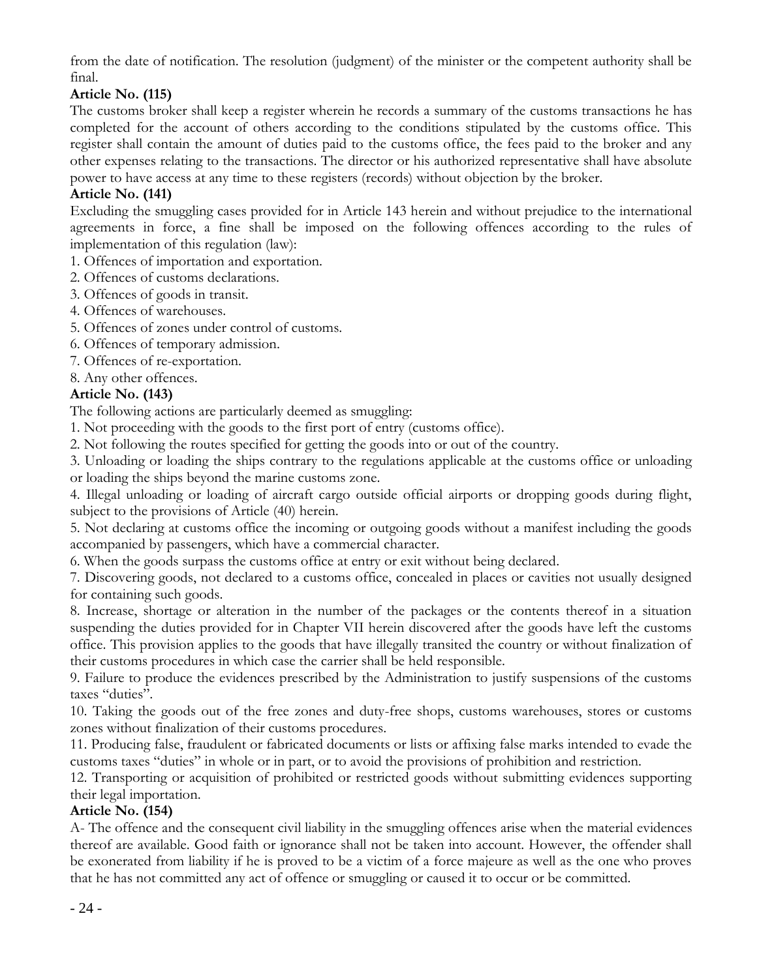from the date of notification. The resolution (judgment) of the minister or the competent authority shall be final.

#### **Article No. (115)**

The customs broker shall keep a register wherein he records a summary of the customs transactions he has completed for the account of others according to the conditions stipulated by the customs office. This register shall contain the amount of duties paid to the customs office, the fees paid to the broker and any other expenses relating to the transactions. The director or his authorized representative shall have absolute power to have access at any time to these registers (records) without objection by the broker.

#### **Article No. (141)**

Excluding the smuggling cases provided for in Article 143 herein and without prejudice to the international agreements in force, a fine shall be imposed on the following offences according to the rules of implementation of this regulation (law):

- 1. Offences of importation and exportation.
- 2. Offences of customs declarations.
- 3. Offences of goods in transit.
- 4. Offences of warehouses.
- 5. Offences of zones under control of customs.
- 6. Offences of temporary admission.
- 7. Offences of re-exportation.
- 8. Any other offences.

#### **Article No. (143)**

The following actions are particularly deemed as smuggling:

1. Not proceeding with the goods to the first port of entry (customs office).

2. Not following the routes specified for getting the goods into or out of the country.

3. Unloading or loading the ships contrary to the regulations applicable at the customs office or unloading or loading the ships beyond the marine customs zone.

4. Illegal unloading or loading of aircraft cargo outside official airports or dropping goods during flight, subject to the provisions of Article (40) herein.

5. Not declaring at customs office the incoming or outgoing goods without a manifest including the goods accompanied by passengers, which have a commercial character.

6. When the goods surpass the customs office at entry or exit without being declared.

7. Discovering goods, not declared to a customs office, concealed in places or cavities not usually designed for containing such goods.

8. Increase, shortage or alteration in the number of the packages or the contents thereof in a situation suspending the duties provided for in Chapter VII herein discovered after the goods have left the customs office. This provision applies to the goods that have illegally transited the country or without finalization of their customs procedures in which case the carrier shall be held responsible.

9. Failure to produce the evidences prescribed by the Administration to justify suspensions of the customs taxes "duties".

10. Taking the goods out of the free zones and duty-free shops, customs warehouses, stores or customs zones without finalization of their customs procedures.

11. Producing false, fraudulent or fabricated documents or lists or affixing false marks intended to evade the customs taxes "duties" in whole or in part, or to avoid the provisions of prohibition and restriction.

12. Transporting or acquisition of prohibited or restricted goods without submitting evidences supporting their legal importation.

#### **Article No. (154)**

A- The offence and the consequent civil liability in the smuggling offences arise when the material evidences thereof are available. Good faith or ignorance shall not be taken into account. However, the offender shall be exonerated from liability if he is proved to be a victim of a force majeure as well as the one who proves that he has not committed any act of offence or smuggling or caused it to occur or be committed.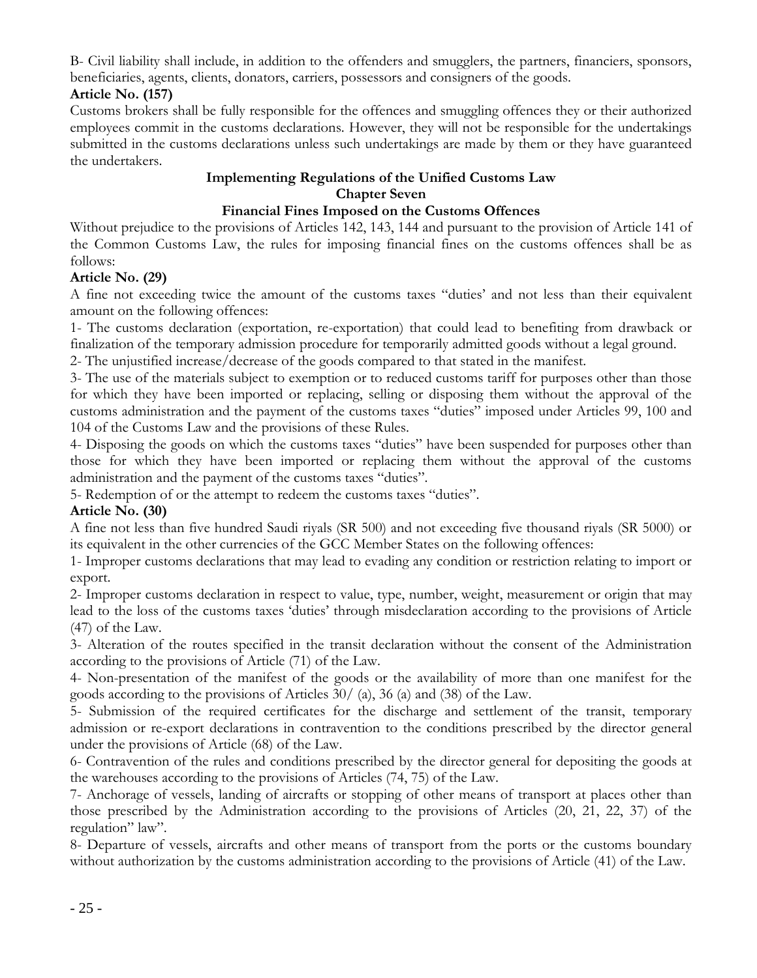B- Civil liability shall include, in addition to the offenders and smugglers, the partners, financiers, sponsors, beneficiaries, agents, clients, donators, carriers, possessors and consigners of the goods.

#### **Article No. (157)**

Customs brokers shall be fully responsible for the offences and smuggling offences they or their authorized employees commit in the customs declarations. However, they will not be responsible for the undertakings submitted in the customs declarations unless such undertakings are made by them or they have guaranteed the undertakers.

#### **Implementing Regulations of the Unified Customs Law Chapter Seven**

#### **Financial Fines Imposed on the Customs Offences**

Without prejudice to the provisions of Articles 142, 143, 144 and pursuant to the provision of Article 141 of the Common Customs Law, the rules for imposing financial fines on the customs offences shall be as follows:

#### **Article No. (29)**

A fine not exceeding twice the amount of the customs taxes "duties' and not less than their equivalent amount on the following offences:

1- The customs declaration (exportation, re-exportation) that could lead to benefiting from drawback or finalization of the temporary admission procedure for temporarily admitted goods without a legal ground.

2- The unjustified increase/decrease of the goods compared to that stated in the manifest.

3- The use of the materials subject to exemption or to reduced customs tariff for purposes other than those for which they have been imported or replacing, selling or disposing them without the approval of the customs administration and the payment of the customs taxes "duties" imposed under Articles 99, 100 and 104 of the Customs Law and the provisions of these Rules.

4- Disposing the goods on which the customs taxes "duties" have been suspended for purposes other than those for which they have been imported or replacing them without the approval of the customs administration and the payment of the customs taxes "duties".

5- Redemption of or the attempt to redeem the customs taxes "duties".

#### **Article No. (30)**

A fine not less than five hundred Saudi riyals (SR 500) and not exceeding five thousand riyals (SR 5000) or its equivalent in the other currencies of the GCC Member States on the following offences:

1- Improper customs declarations that may lead to evading any condition or restriction relating to import or export.

2- Improper customs declaration in respect to value, type, number, weight, measurement or origin that may lead to the loss of the customs taxes 'duties' through misdeclaration according to the provisions of Article (47) of the Law.

3- Alteration of the routes specified in the transit declaration without the consent of the Administration according to the provisions of Article (71) of the Law.

4- Non-presentation of the manifest of the goods or the availability of more than one manifest for the goods according to the provisions of Articles 30/ (a), 36 (a) and (38) of the Law.

5- Submission of the required certificates for the discharge and settlement of the transit, temporary admission or re-export declarations in contravention to the conditions prescribed by the director general under the provisions of Article (68) of the Law.

6- Contravention of the rules and conditions prescribed by the director general for depositing the goods at the warehouses according to the provisions of Articles (74, 75) of the Law.

7- Anchorage of vessels, landing of aircrafts or stopping of other means of transport at places other than those prescribed by the Administration according to the provisions of Articles (20, 21, 22, 37) of the regulation" law".

8- Departure of vessels, aircrafts and other means of transport from the ports or the customs boundary without authorization by the customs administration according to the provisions of Article (41) of the Law.